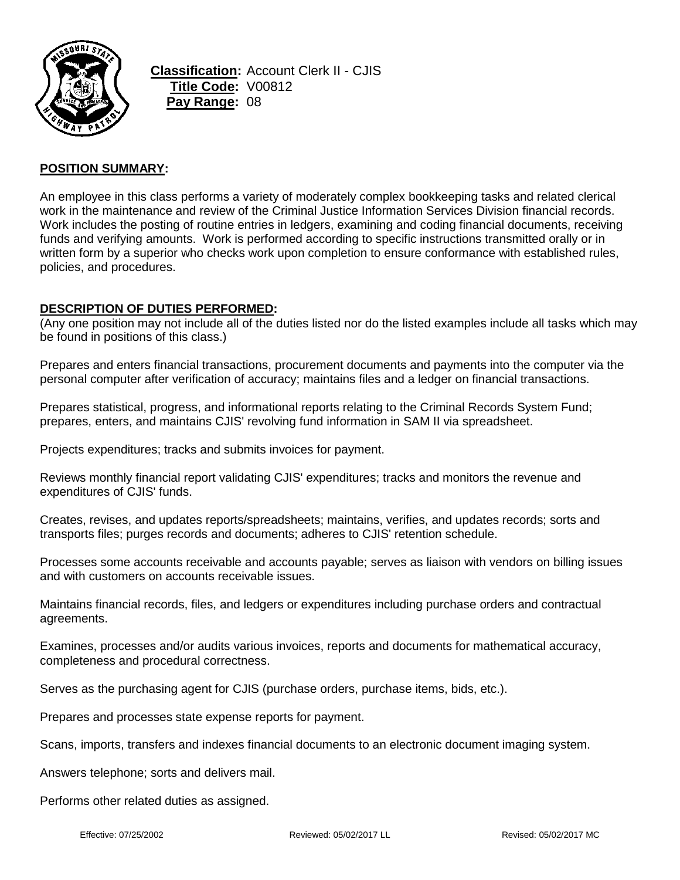

**Classification:** Account Clerk II - CJIS **Title Code:** V00812 **Pay Range:** 08

## **POSITION SUMMARY:**

An employee in this class performs a variety of moderately complex bookkeeping tasks and related clerical work in the maintenance and review of the Criminal Justice Information Services Division financial records. Work includes the posting of routine entries in ledgers, examining and coding financial documents, receiving funds and verifying amounts. Work is performed according to specific instructions transmitted orally or in written form by a superior who checks work upon completion to ensure conformance with established rules, policies, and procedures.

### **DESCRIPTION OF DUTIES PERFORMED:**

(Any one position may not include all of the duties listed nor do the listed examples include all tasks which may be found in positions of this class.)

Prepares and enters financial transactions, procurement documents and payments into the computer via the personal computer after verification of accuracy; maintains files and a ledger on financial transactions.

Prepares statistical, progress, and informational reports relating to the Criminal Records System Fund; prepares, enters, and maintains CJIS' revolving fund information in SAM II via spreadsheet.

Projects expenditures; tracks and submits invoices for payment.

Reviews monthly financial report validating CJIS' expenditures; tracks and monitors the revenue and expenditures of CJIS' funds.

Creates, revises, and updates reports/spreadsheets; maintains, verifies, and updates records; sorts and transports files; purges records and documents; adheres to CJIS' retention schedule.

Processes some accounts receivable and accounts payable; serves as liaison with vendors on billing issues and with customers on accounts receivable issues.

Maintains financial records, files, and ledgers or expenditures including purchase orders and contractual agreements.

Examines, processes and/or audits various invoices, reports and documents for mathematical accuracy, completeness and procedural correctness.

Serves as the purchasing agent for CJIS (purchase orders, purchase items, bids, etc.).

Prepares and processes state expense reports for payment.

Scans, imports, transfers and indexes financial documents to an electronic document imaging system.

Answers telephone; sorts and delivers mail.

Performs other related duties as assigned.